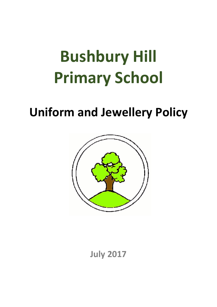# **Bushbury Hill Primary School**

# **Uniform and Jewellery Policy**



**July 2017**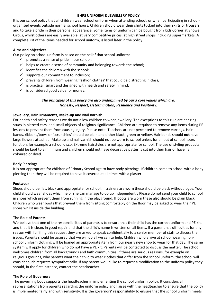#### **BHPS UNIFORM & JEWELLERY POLICY**

It is our school policy that all children wear school uniform when attending school, or when participating in schoolorganised events outside normal school hours. Children should wear their shirts tucked into their skirts or trousers and to take a pride in their personal appearance. Some items of uniform can be bought from Kids Corner at Showell Circus, whilst others are easily available, at very competitive prices, at high street shops including supermarkets. A complete list of the items needed for school uniform, is listed later in the policy.

# **Aims and objectives**

Our policy on school uniform is based on the belief that school uniform:

- $\checkmark$  promotes a sense of pride in our school;
- $\checkmark$  helps to create a sense of community and belonging towards the school;
- $\checkmark$  identifies the children with the school;
- $\checkmark$  supports our commitment to inclusion;
- $\checkmark$  prevents children from wearing 'fashion clothes' that could be distracting in class;
- $\checkmark$  is practical, smart and designed with health and safety in mind;
- $\checkmark$  is considered good value for money;

# *The principles of this policy are also underpinned by our 5 core values which are: Honesty, Respect, Determination, Resilience and Positivity.*

# **Jewellery, Hair Ornaments, Make-up and Nail Varnish**

For health and safety reasons we do not allow children to wear jewellery. The exceptions to this rule are ear-ring studs in pierced ears, and small objects of religious significance. Children are required to remove any items during PE lessons to prevent them from causing injury. Please note: Teachers are not permitted to remove earrings. Hair bands, ribbons/bows or 'scrunchies' should be plain and either black, green or yellow. Hair bands should **not** have large flowers attached. Make up and nail varnish should not be worn to school unless for an out of school hours function, for example a school disco. Extreme hairstyles are not appropriate for school. The use of styling products should be kept to a minimum and children should not have decorative patterns cut into their hair or have hair coloured or dyed.

# **Body Piercings**

It is not appropriate for children of Primary School age to have body piercings. If children come to school with a body piercing then they will be required to have it covered at all times with a plaster.

#### **Footwear**

Shoes should be flat, black and appropriate for school. If trainers are worn these should be black without logos. Your child should wear shoes which he or she can manage to do up independently Please do not send your child to school in shoes which prevent them from running in the playground. If boots are worn these also should be plain black. Children who wear boots that prevent them from sitting comfortably on the floor may be asked to wear their PE shoes whilst inside the building.

#### **The Role of Parents**

We believe that one of the responsibilities of parents is to ensure that their child has the correct uniform and PE kit, and that it is clean, in good repair and that the child's name is written on all items. If a parent has difficulties for any reason with fulfilling this request they are asked to speak confidentially to a senior member of staff to discuss the issues. Parents should be assured that we will do all we can to help. Children who arrive at school wearing nonschool uniform clothing will be loaned an appropriate item from our nearly new shop to wear for that day. The same system will apply for children who do not have a PE kit. Parents will be contacted to discuss the matter. The school welcomes children from all backgrounds and faith communities. If there are serious reasons, for example on religious grounds, why parents want their child to wear clothes that differ from the school uniform, the school will consider such requests sympathetically. If any parent would like to request a modification to the uniform policy they should, in the first instance, contact the headteacher.

# **The Role of Governors**

The governing body supports the headteacher in implementing the school uniform policy. It considers all representations from parents regarding the uniform policy and liaises with the headteacher to ensure that the policy is implemented fairly and with sensitivity. It is the governors' responsibility to ensure that the school uniform meets